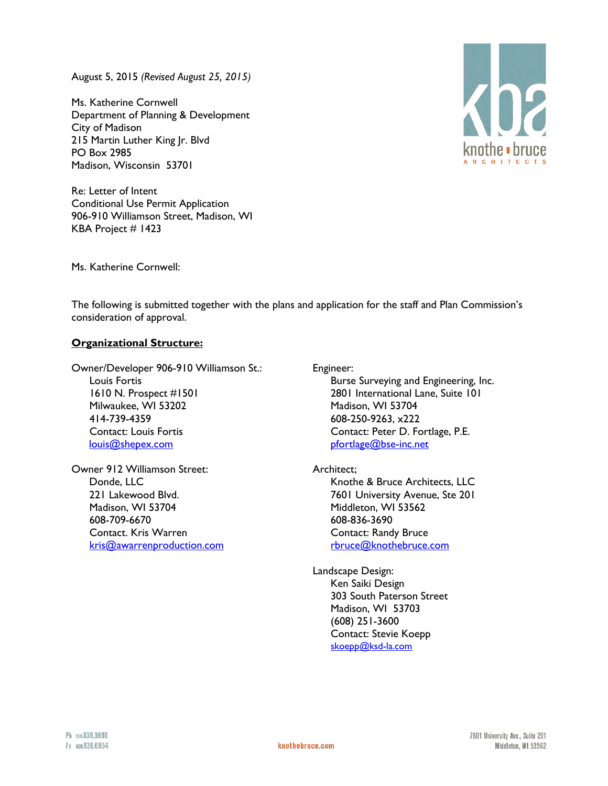August 5, 2015 *(Revised August 25, 2015)*

Ms. Katherine Cornwell Department of Planning & Development City of Madison 215 Martin Luther King Jr. Blvd PO Box 2985 Madison, Wisconsin 53701

Re: Letter of Intent Conditional Use Permit Application 906-910 Williamson Street, Madison, WI KBA Project # 1423



Ms. Katherine Cornwell:

The following is submitted together with the plans and application for the staff and Plan Commission's consideration of approval.

## **Organizational Structure:**

Owner/Developer 906-910 Williamson St.: Louis Fortis 1610 N. Prospect #1501 Milwaukee, WI 53202 414-739-4359 Contact: Louis Fortis [louis@shepex.com](mailto:louis@shepex.com) 

Owner 912 Williamson Street: Donde, LLC 221 Lakewood Blvd. Madison, WI 53704 608-709-6670 Contact. Kris Warren [kris@awarrenproduction.com](mailto:kris@awarrenproduction.com) Engineer:

Burse Surveying and Engineering, Inc. 2801 International Lane, Suite 101 Madison, WI 53704 608-250-9263, x222 Contact: Peter D. Fortlage, P.E. [pfortlage@bse-inc.net](mailto:pfortlage@bse-inc.net) 

Architect;

 Knothe & Bruce Architects, LLC 7601 University Avenue, Ste 201 Middleton, WI 53562 608-836-3690 Contact: Randy Bruce [rbruce@knothebruce.com](mailto:rbruce@knothebruce.com)

Landscape Design: Ken Saiki Design 303 South Paterson Street Madison, WI 53703 (608) 251-3600 Contact: Stevie Koepp [skoepp@ksd-la.com](mailto:skoepp@ksd-la.com)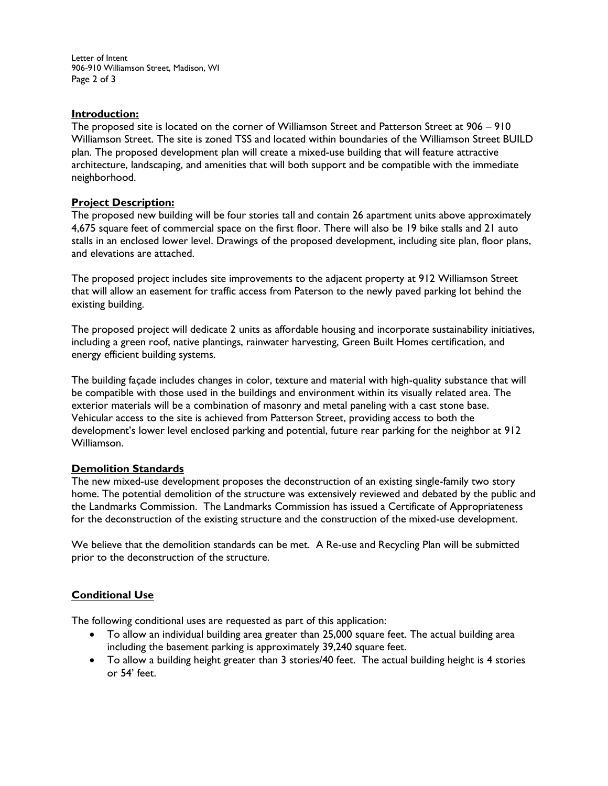Letter of Intent 906-910 Williamson Street, Madison, WI Page 2 of 3

#### **Introduction:**

The proposed site is located on the corner of Williamson Street and Patterson Street at 906 – 910 Williamson Street. The site is zoned TSS and located within boundaries of the Williamson Street BUILD plan. The proposed development plan will create a mixed-use building that will feature attractive architecture, landscaping, and amenities that will both support and be compatible with the immediate neighborhood.

#### **Project Description:**

The proposed new building will be four stories tall and contain 26 apartment units above approximately 4,675 square feet of commercial space on the first floor. There will also be 19 bike stalls and 21 auto stalls in an enclosed lower level. Drawings of the proposed development, including site plan, floor plans, and elevations are attached.

The proposed project includes site improvements to the adjacent property at 912 Williamson Street that will allow an easement for traffic access from Paterson to the newly paved parking lot behind the existing building.

The proposed project will dedicate 2 units as affordable housing and incorporate sustainability initiatives, including a green roof, native plantings, rainwater harvesting, Green Built Homes certification, and energy efficient building systems.

The building façade includes changes in color, texture and material with high-quality substance that will be compatible with those used in the buildings and environment within its visually related area. The exterior materials will be a combination of masonry and metal paneling with a cast stone base. Vehicular access to the site is achieved from Patterson Street, providing access to both the development's lower level enclosed parking and potential, future rear parking for the neighbor at 912 Williamson.

#### **Demolition Standards**

The new mixed-use development proposes the deconstruction of an existing single-family two story home. The potential demolition of the structure was extensively reviewed and debated by the public and the Landmarks Commission. The Landmarks Commission has issued a Certificate of Appropriateness for the deconstruction of the existing structure and the construction of the mixed-use development.

We believe that the demolition standards can be met. A Re-use and Recycling Plan will be submitted prior to the deconstruction of the structure.

#### **Conditional Use**

The following conditional uses are requested as part of this application:

- To allow an individual building area greater than 25,000 square feet. The actual building area including the basement parking is approximately 39,240 square feet.
- To allow a building height greater than 3 stories/40 feet. The actual building height is 4 stories or 54' feet.